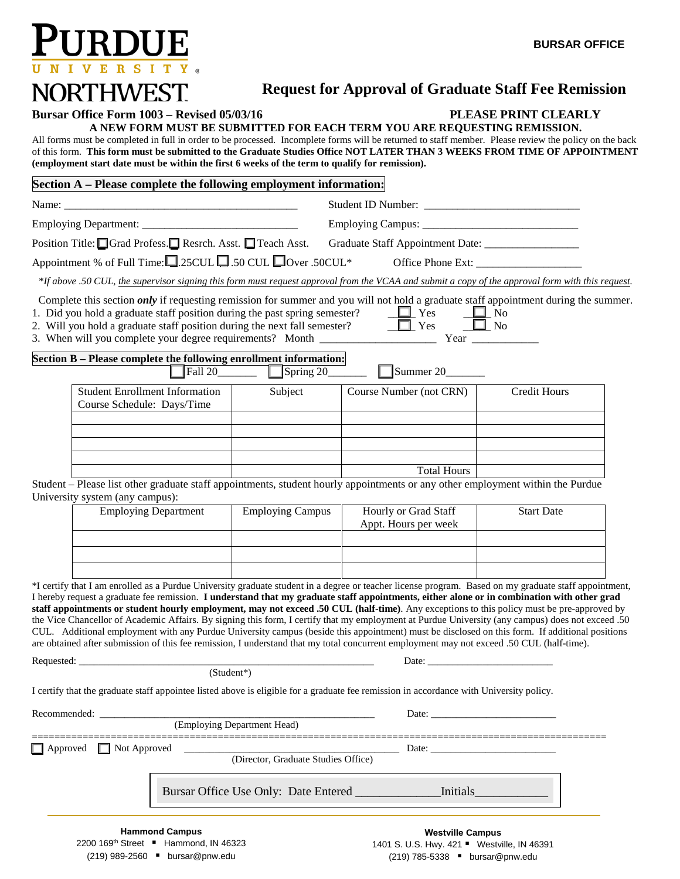

# **Request for Approval of Graduate Staff Fee Remission**

### **Bursar Office Form 1003 – Revised 05/03/16 PLEASE PRINT CLEARLY**

**A NEW FORM MUST BE SUBMITTED FOR EACH TERM YOU ARE REQUESTING REMISSION.** 

 All forms must be completed in full in order to be processed. Incomplete forms will be returned to staff member. Please review the policy on the back of this form. **This form must be submitted to the Graduate Studies Office NOT LATER THAN 3 WEEKS FROM TIME OF APPOINTMENT (employment start date must be within the first 6 weeks of the term to qualify for remission).** 

### **Section A – Please complete the following employment information:**

| Position Title: Grad Profess. Resrch. Asst. Treach Asst. |                                                                                                                                                                                                                                                                                                                                                                                                                                                                                                                                                                                                                                                                                                                                                                                                                                                                                                        |                                                |                                                                                                                                                                                                                                |                   |
|----------------------------------------------------------|--------------------------------------------------------------------------------------------------------------------------------------------------------------------------------------------------------------------------------------------------------------------------------------------------------------------------------------------------------------------------------------------------------------------------------------------------------------------------------------------------------------------------------------------------------------------------------------------------------------------------------------------------------------------------------------------------------------------------------------------------------------------------------------------------------------------------------------------------------------------------------------------------------|------------------------------------------------|--------------------------------------------------------------------------------------------------------------------------------------------------------------------------------------------------------------------------------|-------------------|
|                                                          | Appointment % of Full Time: $\square$ 25CUL $\square$ 50 CUL $\square$ Over .50CUL*                                                                                                                                                                                                                                                                                                                                                                                                                                                                                                                                                                                                                                                                                                                                                                                                                    |                                                |                                                                                                                                                                                                                                |                   |
|                                                          | *If above .50 CUL, the supervisor signing this form must request approval from the VCAA and submit a copy of the approval form with this request.                                                                                                                                                                                                                                                                                                                                                                                                                                                                                                                                                                                                                                                                                                                                                      |                                                |                                                                                                                                                                                                                                |                   |
|                                                          | Complete this section <i>only</i> if requesting remission for summer and you will not hold a graduate staff appointment during the summer.<br>1. Did you hold a graduate staff position during the past spring semester? $\Box$ Yes $\Box$ No<br>2. Will you hold a graduate staff position during the next fall semester? $\Box$ Yes $\Box$ No                                                                                                                                                                                                                                                                                                                                                                                                                                                                                                                                                        |                                                |                                                                                                                                                                                                                                |                   |
|                                                          | Section B - Please complete the following enrollment information:                                                                                                                                                                                                                                                                                                                                                                                                                                                                                                                                                                                                                                                                                                                                                                                                                                      |                                                | $\Box$ Summer 20                                                                                                                                                                                                               |                   |
|                                                          | <b>Student Enrollment Information</b><br>Course Schedule: Days/Time                                                                                                                                                                                                                                                                                                                                                                                                                                                                                                                                                                                                                                                                                                                                                                                                                                    | Subject                                        | Course Number (not CRN)                                                                                                                                                                                                        | Credit Hours      |
|                                                          |                                                                                                                                                                                                                                                                                                                                                                                                                                                                                                                                                                                                                                                                                                                                                                                                                                                                                                        |                                                |                                                                                                                                                                                                                                |                   |
|                                                          |                                                                                                                                                                                                                                                                                                                                                                                                                                                                                                                                                                                                                                                                                                                                                                                                                                                                                                        |                                                | <b>Total Hours</b>                                                                                                                                                                                                             |                   |
|                                                          | Student – Please list other graduate staff appointments, student hourly appointments or any other employment within the Purdue<br>University system (any campus):                                                                                                                                                                                                                                                                                                                                                                                                                                                                                                                                                                                                                                                                                                                                      |                                                |                                                                                                                                                                                                                                |                   |
|                                                          | <b>Employing Department</b>                                                                                                                                                                                                                                                                                                                                                                                                                                                                                                                                                                                                                                                                                                                                                                                                                                                                            | Employing Campus                               | Hourly or Grad Staff<br>Appt. Hours per week                                                                                                                                                                                   | <b>Start Date</b> |
|                                                          |                                                                                                                                                                                                                                                                                                                                                                                                                                                                                                                                                                                                                                                                                                                                                                                                                                                                                                        |                                                |                                                                                                                                                                                                                                |                   |
|                                                          | *I certify that I am enrolled as a Purdue University graduate student in a degree or teacher license program. Based on my graduate staff appointment,<br>I hereby request a graduate fee remission. I understand that my graduate staff appointments, either alone or in combination with other grad<br>staff appointments or student hourly employment, may not exceed .50 CUL (half-time). Any exceptions to this policy must be pre-approved by<br>the Vice Chancellor of Academic Affairs. By signing this form, I certify that my employment at Purdue University (any campus) does not exceed .50<br>CUL. Additional employment with any Purdue University campus (beside this appointment) must be disclosed on this form. If additional positions<br>are obtained after submission of this fee remission, I understand that my total concurrent employment may not exceed .50 CUL (half-time). |                                                |                                                                                                                                                                                                                                |                   |
|                                                          |                                                                                                                                                                                                                                                                                                                                                                                                                                                                                                                                                                                                                                                                                                                                                                                                                                                                                                        |                                                |                                                                                                                                                                                                                                |                   |
|                                                          | I certify that the graduate staff appointee listed above is eligible for a graduate fee remission in accordance with University policy.                                                                                                                                                                                                                                                                                                                                                                                                                                                                                                                                                                                                                                                                                                                                                                |                                                |                                                                                                                                                                                                                                |                   |
|                                                          | Recommended:                                                                                                                                                                                                                                                                                                                                                                                                                                                                                                                                                                                                                                                                                                                                                                                                                                                                                           | (Employing Department Head)                    | Date: the contract of the contract of the contract of the contract of the contract of the contract of the contract of the contract of the contract of the contract of the contract of the contract of the contract of the cont |                   |
| $\Box$ Approved                                          | $\blacksquare$ Not Approved                                                                                                                                                                                                                                                                                                                                                                                                                                                                                                                                                                                                                                                                                                                                                                                                                                                                            | (Director, Graduate Studies Office)            | Date: $\_\_$                                                                                                                                                                                                                   |                   |
|                                                          |                                                                                                                                                                                                                                                                                                                                                                                                                                                                                                                                                                                                                                                                                                                                                                                                                                                                                                        | Bursar Office Use Only: Date Entered _________ | Initials                                                                                                                                                                                                                       |                   |
|                                                          | <b>Hammond Campus</b><br>2200 169 <sup>th</sup> Street ■ Hammond, IN 46323                                                                                                                                                                                                                                                                                                                                                                                                                                                                                                                                                                                                                                                                                                                                                                                                                             |                                                | <b>Westville Campus</b><br>1401 S. U.S. Hwy. 421 " Westville, IN 46391                                                                                                                                                         |                   |

(219) 989-2560 [bursar@pnw.edu](mailto:bursar@pnw.edu)